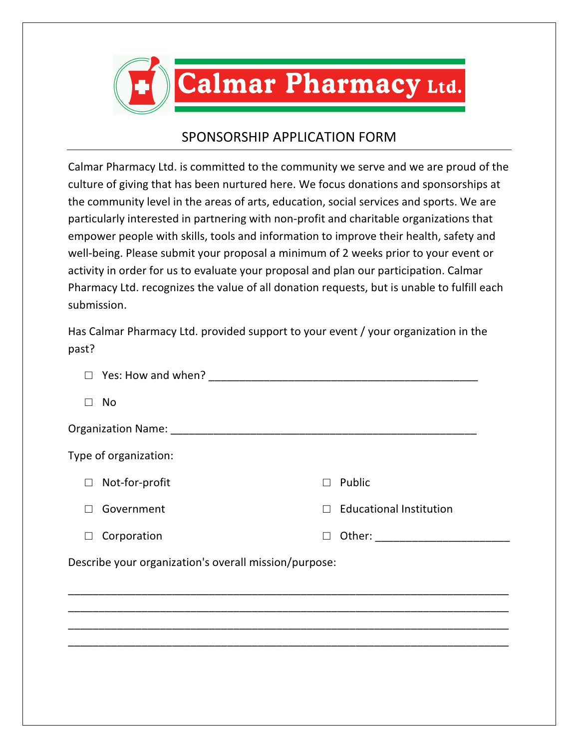

## SPONSORSHIP APPLICATION FORM

Calmar Pharmacy Ltd. is committed to the community we serve and we are proud of the culture of giving that has been nurtured here. We focus donations and sponsorships at the community level in the areas of arts, education, social services and sports. We are particularly interested in partnering with non-profit and charitable organizations that empower people with skills, tools and information to improve their health, safety and well-being. Please submit your proposal a minimum of 2 weeks prior to your event or activity in order for us to evaluate your proposal and plan our participation. Calmar Pharmacy Ltd. recognizes the value of all donation requests, but is unable to fulfill each submission.

Has Calmar Pharmacy Ltd. provided support to your event / your organization in the past?

| No<br>П                                               |                                                                                                                     |
|-------------------------------------------------------|---------------------------------------------------------------------------------------------------------------------|
|                                                       |                                                                                                                     |
| Type of organization:                                 |                                                                                                                     |
| Not-for-profit<br>$\Box$                              | $\square$ Public                                                                                                    |
| Government                                            | $\Box$ Educational Institution                                                                                      |
| Corporation                                           | Other: will be a series of the series of the series of the series of the series of the series of the series of<br>П |
| Describe your organization's overall mission/purpose: |                                                                                                                     |
|                                                       |                                                                                                                     |
|                                                       |                                                                                                                     |
|                                                       |                                                                                                                     |
|                                                       |                                                                                                                     |